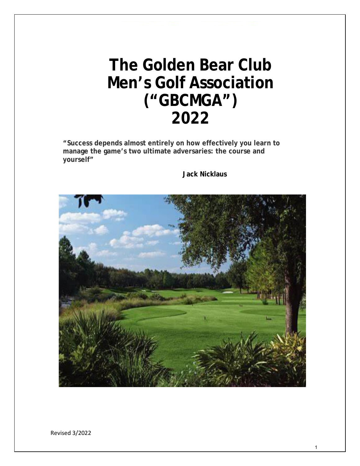# **The Golden Bear Club Men's Golf Association ("GBCMGA") 2022**

**"Success depends almost entirely on how effectively you learn to manage the game's two ultimate adversaries: the course and yourself"**

#### **Jack Nicklaus**



Revised 3/2022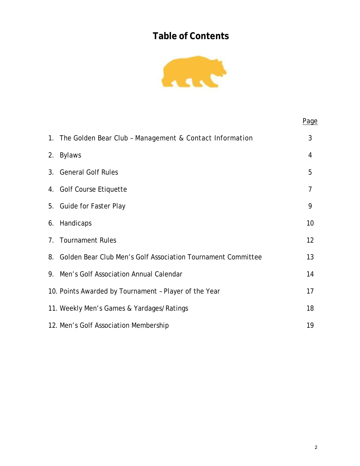# **Table of Contents**



|                                                                 | Page |
|-----------------------------------------------------------------|------|
| 1. The Golden Bear Club - Management & Contact Information      | 3    |
| 2. Bylaws                                                       | 4    |
| 3. General Golf Rules                                           | 5    |
| 4. Golf Course Etiquette                                        | 7    |
| 5. Guide for Faster Play                                        | 9    |
| 6. Handicaps                                                    | 10   |
| 7. Tournament Rules                                             | 12   |
| 8. Golden Bear Club Men's Golf Association Tournament Committee | 13   |
| 9. Men's Golf Association Annual Calendar                       | 14   |
| 10. Points Awarded by Tournament - Player of the Year           | 17   |
| 11. Weekly Men's Games & Yardages/Ratings                       | 18   |
| 12. Men's Golf Association Membership                           | 19   |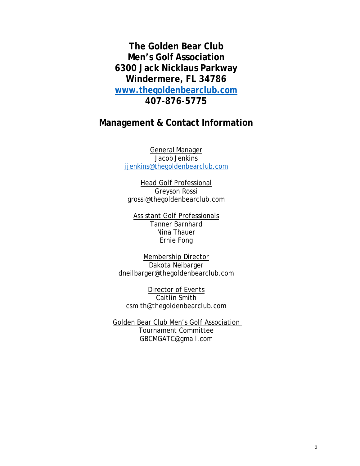**The Golden Bear Club Men's Golf Association 6300 Jack Nicklaus Parkway Windermere, FL 34786 [www.thegoldenbearclub.com](http://www.thegoldenbearclub.com/) 407-876-5775**

# **Management & Contact Information**

General Manager Jacob Jenkins [jjenkins@thegoldenbearclub.com](mailto:jjenkins@thegoldenbearclub.com)

Head Golf Professional Greyson Rossi [grossi@thegoldenbearclub.com](mailto:grossi@thegoldenbearclub.com)

Assistant Golf Professionals Tanner Barnhard Nina Thauer Ernie Fong

Membership Director Dakota Neibarger [dneilbarger@thegoldenbearclub.com](mailto:dneilbarger@thegoldenbearclub.com)

Director of Events Caitlin Smith [csmith@thegoldenbearclub.com](mailto:csmith@thegoldenbearclub.com)

Golden Bear Club Men's Golf Association Tournament Committee GBCMGATC@gmail.com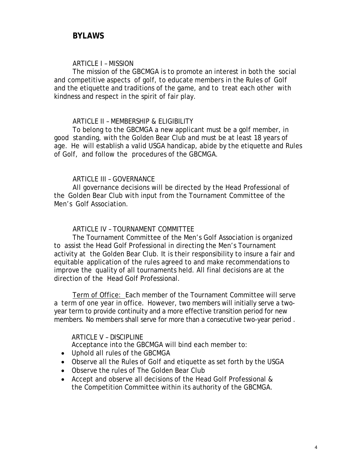#### ARTICLE I – MISSION

The mission of the GBCMGA is to promote an interest in both the social and competitive aspects of golf, to educate members in the Rules of Golf and the etiquette and traditions of the game, and to treat each other with kindness and respect in the spirit of fair play.

#### ARTICLE II – MEMBERSHIP & ELIGIBILITY

To belong to the GBCMGA a new applicant must be a golf member, in good standing, with the Golden Bear Club and must be at least 18 years of age. He will establish a valid USGA handicap, abide by the etiquette and Rules of Golf, and follow the procedures of the GBCMGA.

#### ARTICLE III – GOVERNANCE

All governance decisions will be directed by the Head Professional of the Golden Bear Club with input from the Tournament Committee of the Men's Golf Association.

#### ARTICLE IV – TOURNAMENT COMMITTEE

The Tournament Committee of the Men's Golf Association is organized to assist the Head Golf Professional in directing the Men's Tournament activity at the Golden Bear Club. It is their responsibility to insure a fair and equitable application of the rules agreed to and make recommendations to improve the quality of all tournaments held. All final decisions are at the direction of the Head Golf Professional.

Term of Office: Each member of the Tournament Committee will serve a term of one year in office. However, two members will initially serve a twoyear term to provide continuity and a more effective transition period for new members. No members shall serve for more than a consecutive two-year period .

#### ARTICLE V – DISCIPLINE

Acceptance into the GBCMGA will bind each member to:

- Uphold all rules of the GBCMGA
- Observe all the Rules of Golf and etiquette as set forth by the USGA
- Observe the rules of The Golden Bear Club
- Accept and observe all decisions of the Head Golf Professional & the Competition Committee within its authority of the GBCMGA.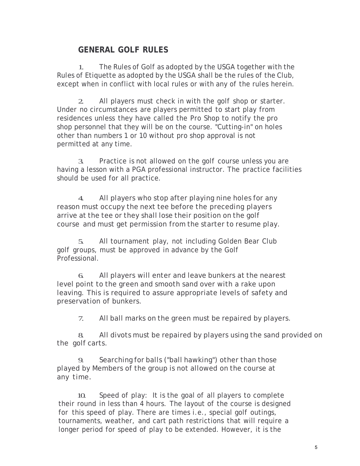# **GENERAL GOLF RULES**

1. The Rules of Golf as adopted by the USGA together with the Rules of Etiquette as adopted by the USGA shall be the rules of the Club, except when in conflict with local rules or with any of the rules herein.

2. All players must check in with the golf shop or starter. Under no circumstances are players permitted to start play from residences unless they have called the Pro Shop to notify the pro shop personnel that they will be on the course. "Cutting-in" on holes other than numbers 1 or 10 without pro shop approval is not permitted at any time.

3. Practice is not allowed on the golf course unless you are having a lesson with a PGA professional instructor. The practice facilities should be used for all practice.

4. All players who stop after playing nine holes for any reason must occupy the next tee before the preceding players arrive at the tee or they shall lose their position on the golf course and must get permission from the starter to resume play.

5. All tournament play, not including Golden Bear Club golf groups, must be approved in advance by the Golf Professional.

6. All players will enter and leave bunkers at the nearest level point to the green and smooth sand over with a rake upon leaving. This is required to assure appropriate levels of safety and preservation of bunkers.

7. All ball marks on the green must be repaired by players.

8. All divots must be repaired by players using the sand provided on the golf carts.

9. Searching for balls ("ball hawking") other than those played by Members of the group is not allowed on the course at any time.

10. Speed of play: It is the goal of all players to complete their round in less than 4 hours. The layout of the course is designed for this speed of play. There are times i.e., special golf outings, tournaments, weather, and cart path restrictions that will require a longer period for speed of play to be extended. However, it is the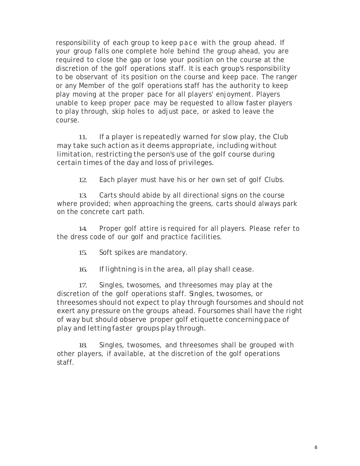responsibility of each group to keep pace with the group ahead. If your group falls one complete hole behind the group ahead, you are required to close the gap or lose your position on the course at the discretion of the golf operations staff. It is each group's responsibility to be observant of its position on the course and keep pace. The ranger or any Member of the golf operations staff has the authority to keep play moving at the proper pace for all players' enjoyment. Players unable to keep proper pace may be requested to allow faster players to play through, skip holes to adjust pace, or asked to leave the course.

11. If a player is repeatedly warned for slow play, the Club may take such action as it deems appropriate, including without limitation, restricting the person's use of the golf course during certain times of the day and loss of privileges.

12. Each player must have his or her own set of golf Clubs.

13. Carts should abide by all directional signs on the course where provided; when approaching the greens, carts should always park on the concrete cart path.

14. Proper golf attire is required for all players. Please refer to the dress code of our golf and practice facilities.

15. Soft spikes are mandatory.

16. Iflightning is in the area, all play shall cease.

17. Singles, twosomes, and threesomes may play at the discretion of the golf operations staff. Singles, twosomes, or threesomes should not expect to play through foursomes and should not exert any pressure on the groups ahead. Foursomes shall have the right of way but should observe proper golf etiquette concerning pace of play and letting faster groups play through.

18. Singles, twosomes, and threesomes shall be grouped with other players, if available, at the discretion of the golf operations staff.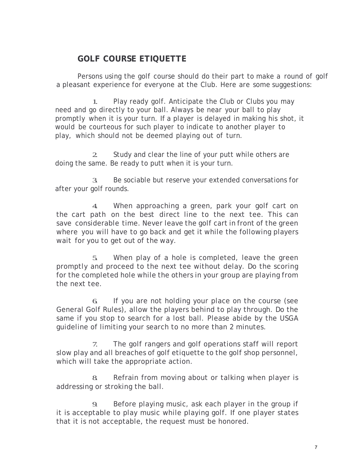# **GOLF COURSE ETIQUETTE**

Persons using the golf course should do their part to make a round of golf a pleasant experience for everyone at the Club. Here are some suggestions:

1. Play ready golf. Anticipate the Club or Clubs you may need and go directly to your ball. Always be near your ball to play promptly when it is your turn. If a player is delayed in making his shot, it would be courteous for such player to indicate to another player to play, which should not be deemed playing out of turn.

2. Study and clear the line of your putt while others are doing the same. Be ready to putt when it is your turn.

3. Be sociable but reserve your extended conversations for after your golf rounds.

4. When approaching a green, park your golf cart on the cart path on the best direct line to the next tee. This can save considerable time. Never leave the golf cart in front of the green where you will have to go back and get it while the following players wait for you to get out of the way.

5. When play of a hole is completed, leave the green promptly and proceed to the next tee without delay. Do the scoring for the completed hole while the others in your group are playing from the next tee.

6. If you are not holding your place on the course (see General Golf Rules), allow the players behind to play through. Do the same if you stop to search for a lost ball. Please abide by the USGA guideline of limiting your search to no more than 2 minutes.

7. The golf rangers and golf operations staff will report slow play and all breaches of golf etiquette to the golf shop personnel, which will take the appropriate action.

8. Refrain from moving about or talking when player is addressing or stroking the ball.

9. Before playing music, ask each player in the group if it is acceptable to play music while playing golf. If one player states that it is not acceptable, the request must be honored.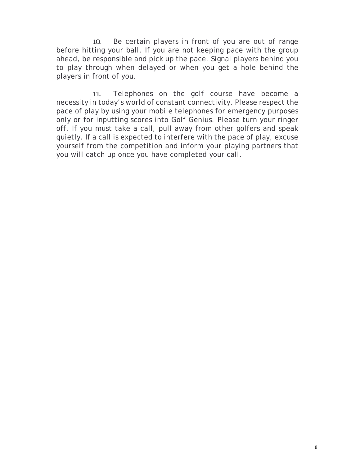10. Be certain players in front of you are out of range before hitting your ball. If you are not keeping pace with the group ahead, be responsible and pick up the pace. Signal players behind you to play through when delayed or when you get a hole behind the players in front of you.

11. Telephones on the golf course have become a necessity in today's world of constant connectivity. Please respect the pace of play by using your mobile telephones for emergency purposes only or for inputting scores into Golf Genius. Please turn your ringer off. If you must take a call, pull away from other golfers and speak quietly. If a call is expected to interfere with the pace of play, excuse yourself from the competition and inform your playing partners that you will catch up once you have completed your call.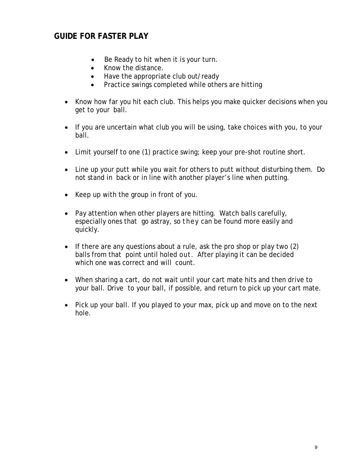# **GUIDE FOR FASTER PLAY**

- Be Ready to hit when it is your turn.
- Know the distance.
- Have the appropriate club out/ready
- Practice swings completed while others are hitting
- Know how far you hit each club. This helps you make quicker decisions when you get to your ball.
- If you are uncertain what club you will be using, take choices with you, to your ball.
- Limit yourself to one (1) practice swing; keep your pre-shot routine short.
- Line up your putt while you wait for others to putt without disturbing them. Do not stand in back or in line with another player's line when putting.
- Keep up with the group in front of you.
- Pay attention when other players are hitting. Watch balls carefully, especially ones that go astray, so they can be found more easily and quickly.
- If there are any questions about a rule, ask the pro shop or play two (2) balls from that point until holed out. After playing it can be decided which one was correct and will count.
- When sharing a cart, do not wait until your cart mate hits and then drive to your ball. Drive to your ball, if possible, and return to pick up your cart mate.
- Pick up your ball. If you played to your max, pick up and move on to the next hole.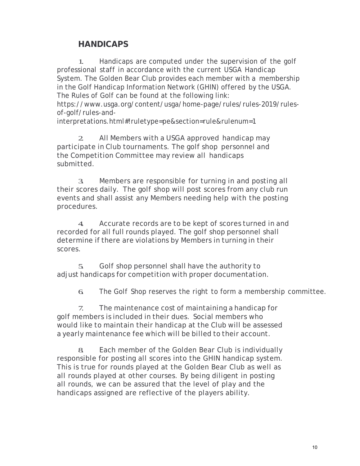# **HANDICAPS**

1. Handicaps are computed under the supervision of the golf professional staff in accordance with the current USGA Handicap System. The Golden Bear Club provides each member with a membership in the Golf Handicap Information Network (GHIN) offered by the USGA. The Rules of Golf can be found at the following link:

https://www.usga.org/content/usga/home-page/rules/rules-2019/rulesof-golf/rules-and-

interpretations.html#!ruletype=pe&section=rule&rulenum=1

2. All Members with a USGA approved handicap may participate in Club tournaments. The golf shop personnel and the Competition Committee may review all handicaps submitted.

3. Members are responsible for turning in and posting all their scores daily. The golf shop will post scores from any club run events and shall assist any Members needing help with the posting procedures.

4. Accurate records are to be kept of scores turned in and recorded for all full rounds played. The golf shop personnel shall determine if there are violations by Members in turning in their scores.

5. Golf shop personnel shall have the authority to adjust handicaps for competition with proper documentation.

6. The Golf Shop reserves the right to form a membership committee.

7. The maintenance cost of maintaining a handicap for golf members is included in their dues. Social members who would like to maintain their handicap at the Club will be assessed a yearly maintenance fee which will be billed to their account.

8. Each member of the Golden Bear Club is individually responsible for posting all scores into the GHIN handicap system. This is true for rounds played at the Golden Bear Club as well as all rounds played at other courses. By being diligent in posting all rounds, we can be assured that the level of play and the handicaps assigned are reflective of the players ability.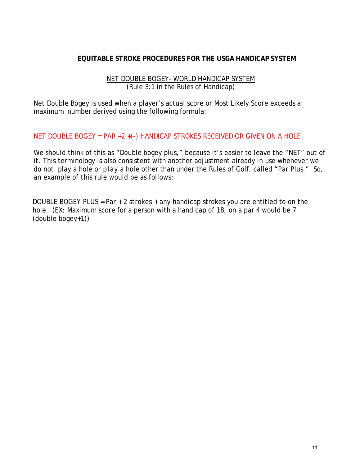#### **EQUITABLE STROKE PROCEDURES FOR THE USGA HANDICAP SYSTEM**

#### NET DOUBLE BOGEY- WORLD HANDICAP SYSTEM (Rule 3:1 in the Rules of Handicap)

Net Double Bogey is used when a player's actual score or Most Likely Score exceeds a maximum number derived using the following formula:

#### NET DOUBLE BOGEY = PAR +2 +(-) HANDICAP STROKES RECEIVED OR GIVEN ON A HOLE

We should think of this as "Double bogey plus," because it's easier to leave the "NET" out of it. This terminology is also consistent with another adjustment already in use whenever we do not play a hole or play a hole other than under the Rules of Golf, called "Par Plus." So, an example of this rule would be as follows:

DOUBLE BOGEY PLUS = Par + 2 strokes + any handicap strokes you are entitled to on the hole. (EX: Maximum score for a person with a handicap of 18, on a par 4 would be 7 (double bogey+1))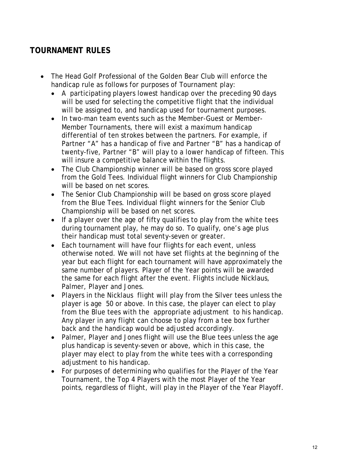# **TOURNAMENT RULES**

- The Head Golf Professional of the Golden Bear Club will enforce the handicap rule as follows for purposes of Tournament play:
	- A participating players lowest handicap over the preceding 90 days will be used for selecting the competitive flight that the individual will be assigned to, and handicap used for tournament purposes.
	- In two-man team events such as the Member-Guest or Member-Member Tournaments, there will exist a maximum handicap differential of ten strokes between the partners. For example, if Partner "A" has a handicap of five and Partner "B" has a handicap of twenty-five, Partner "B" will play to a lower handicap of fifteen. This will insure a competitive balance within the flights.
	- The Club Championship winner will be based on gross score played from the Gold Tees. Individual flight winners for Club Championship will be based on net scores.
	- The Senior Club Championship will be based on gross score played from the Blue Tees. Individual flight winners for the Senior Club Championship will be based on net scores.
	- If a player over the age of fifty qualifies to play from the white tees during tournament play, he may do so. To qualify, one's age plus their handicap must total seventy-seven or greater.
	- Each tournament will have four flights for each event, unless otherwise noted. We will not have set flights at the beginning of the year but each flight for each tournament will have approximately the same number of players. Player of the Year points will be awarded the same for each flight after the event. Flights include Nicklaus, Palmer, Player and Jones.
	- Players in the Nicklaus flight will play from the Silver tees unless the player is age 50 or above. In this case, the player can elect to play from the Blue tees with the appropriate adjustment to his handicap. Any player in any flight can choose to play from a tee box further back and the handicap would be adjusted accordingly.
	- Palmer, Player and Jones flight will use the Blue tees unless the age plus handicap is seventy-seven or above, which in this case, the player may elect to play from the white tees with a corresponding adjustment to his handicap.
	- For purposes of determining who qualifies for the Player of the Year Tournament, the Top 4 Players with the most Player of the Year points, regardless of flight, will play in the Player of the Year Playoff.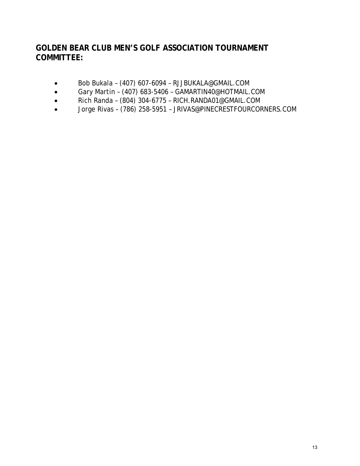# **GOLDEN BEAR CLUB MEN'S GOLF ASSOCIATION TOURNAMENT COMMITTEE:**

- Bob Bukala (407) 607-6094  [RJJBUKALA@GMAIL.COM](mailto:RJJBUKALA@GMAIL.COM)
- Gary Martin (407) 683-5406  [GAMARTIN40@HOTMAIL.COM](mailto:GAMARTIN40@HOTMAIL.COM)
- Rich Randa (804) 304-6775  [RICH.RANDA01@GMAIL.COM](mailto:RICH.RANDA01@GMAIL.COM)
- Jorge Rivas (786) 258-5951 – [JRIVAS@PINECRESTFOURCORNERS.COM](mailto:JRIVAS@PINECRESTFOURCORNERS.COM)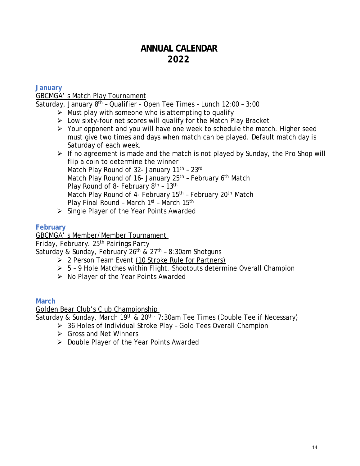# **ANNUAL CALENDAR 2022**

### **January**

### GBCMGA' s Match Play Tournament

Saturday, January 8<sup>th</sup> - Qualifier - Open Tee Times - Lunch 12:00 - 3:00

- $\triangleright$  Must play with someone who is attempting to qualify
- $\triangleright$  Low sixty-four net scores will qualify for the Match Play Bracket
- $\triangleright$  Your opponent and you will have one week to schedule the match. Higher seed must give two times and days when match can be played. Default match day is Saturday of each week.

 $\triangleright$  If no agreement is made and the match is not played by Sunday, the Pro Shop will flip a coin to determine the winner Match Play Round of 32- January 11<sup>th</sup> - 23rd Match Play Round of 16- January 25<sup>th</sup> - February 6<sup>th</sup> Match Play Round of 8- February  $8<sup>th</sup>$  - 13<sup>th</sup> Match Play Round of 4- February 15<sup>th</sup> - February 20<sup>th</sup> Match Play Final Round - March 1<sup>st</sup> - March 15<sup>th</sup>

 $\triangleright$  Single Player of the Year Points Awarded

### **February**

GBCMGA' s Member/Member Tournament

Friday, February. 25<sup>th</sup> Pairings Party

Saturday & Sunday, February 26<sup>th</sup> & 27<sup>th</sup> - 8:30am Shotguns

- $\geq 2$  Person Team Event (10 Stroke Rule for Partners)
- $> 5 9$  Hole Matches within Flight. Shootouts determine Overall Champion
- $\triangleright$  No Player of the Year Points Awarded

### **March**

#### Golden Bear Club's Club Championship

Saturday & Sunday, March 19<sup>th</sup> & 20<sup>th -</sup> 7:30am Tee Times (Double Tee if Necessary)

- 36 Holes of Individual Stroke Play Gold Tees Overall Champion
- **► Gross and Net Winners**
- $\triangleright$  Double Player of the Year Points Awarded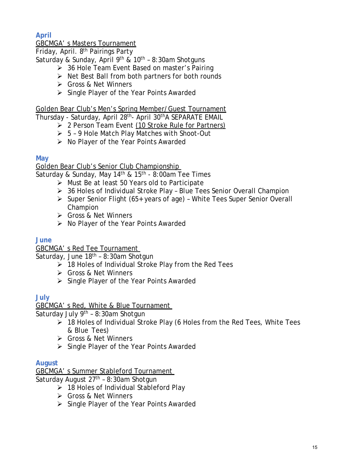**April**

# GBCMGA' s Masters Tournament

Friday, April. 8th Pairings Party

Saturday & Sunday, April 9<sup>th</sup> & 10<sup>th</sup> - 8:30am Shotguns

- ▶ 36 Hole Team Event Based on master's Pairing
- $\triangleright$  Net Best Ball from both partners for both rounds
- Gross & Net Winners
- $\triangleright$  Single Player of the Year Points Awarded

Golden Bear Club's Men's Spring Member/Guest Tournament

Thursday - Saturday, April 28th- April 30thA SEPARATE EMAIL

- ▶ 2 Person Team Event (10 Stroke Rule for Partners)
- 5 9 Hole Match Play Matches with Shoot-Out
- $\triangleright$  No Player of the Year Points Awarded

### **May**

Golden Bear Club's Senior Club Championship

Saturday & Sunday, May  $14<sup>th</sup>$  &  $15<sup>th</sup>$  - 8:00am Tee Times

- $\triangleright$  Must Be at least 50 Years old to Participate
- 36 Holes of Individual Stroke Play Blue Tees Senior Overall Champion
- $\triangleright$  Super Senior Flight (65+ years of age) White Tees Super Senior Overall Champion
- Gross & Net Winners
- $\triangleright$  No Player of the Year Points Awarded

# **June**

GBCMGA' s Red Tee Tournament

Saturday, June  $18<sup>th</sup> - 8:30$ am Shotgun

- $\geq$  18 Holes of Individual Stroke Play from the Red Tees
- Gross & Net Winners
- $\triangleright$  Single Player of the Year Points Awarded

# **July**

GBCMGA' s Red, White & Blue Tournament

Saturday July  $9<sup>th</sup>$  – 8:30am Shotgun

- $\triangleright$  18 Holes of Individual Stroke Play (6 Holes from the Red Tees, White Tees & Blue Tees)
- Gross & Net Winners
- $\triangleright$  Single Player of the Year Points Awarded

# **August**

GBCMGA' s Summer Stableford Tournament

Saturday August  $27<sup>th</sup>$  - 8:30am Shotgun

- $\geq$  18 Holes of Individual Stableford Play
- Gross & Net Winners
- $\triangleright$  Single Player of the Year Points Awarded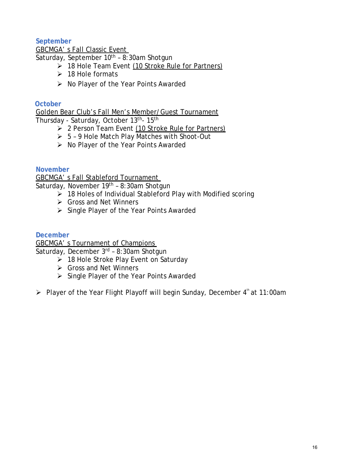### **September**

GBCMGA' s Fall Classic Event

Saturday, September 10<sup>th</sup> - 8:30am Shotgun

- $\geq$  18 Hole Team Event (10 Stroke Rule for Partners)
- $\geq$  18 Hole formats
- $\triangleright$  No Player of the Year Points Awarded

#### **October**

Golden Bear Club's Fall Men's Member/Guest Tournament

Thursday - Saturday, October 13th- 15th

- $\geq 2$  Person Team Event (10 Stroke Rule for Partners)
- 5 9 Hole Match Play Matches with Shoot-Out
- $\triangleright$  No Player of the Year Points Awarded

**November**

GBCMGA' s Fall Stableford Tournament

Saturday, November 19<sup>th</sup> - 8:30am Shotgun

- $\geq$  18 Holes of Individual Stableford Play with Modified scoring
- **►** Gross and Net Winners
- $\triangleright$  Single Player of the Year Points Awarded

#### **December**

GBCMGA' s Tournament of Champions

Saturday, December 3rd – 8:30am Shotgun

- $\geq$  18 Hole Stroke Play Event on Saturday
- **► Gross and Net Winners**
- Single Player of the Year Points Awarded

 $\triangleright$  Player of the Year Flight Playoff will begin Sunday, December 4<sup>th</sup> at 11:00am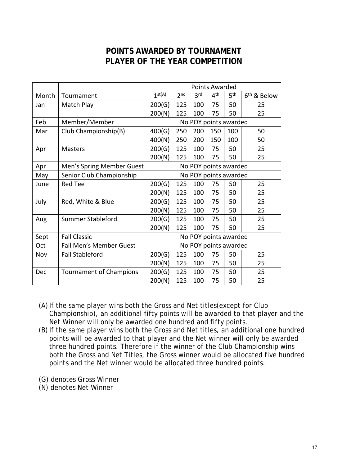# **POINTS AWARDED BY TOURNAMENT PLAYER OF THE YEAR COMPETITION**

|       |                                | <b>Points Awarded</b> |                 |                 |                 |                 |                         |
|-------|--------------------------------|-----------------------|-----------------|-----------------|-----------------|-----------------|-------------------------|
| Month | Tournament                     | 1 <sup>st(A)</sup>    | 2 <sub>nd</sub> | 3 <sup>rd</sup> | 4 <sup>th</sup> | 5 <sup>th</sup> | 6 <sup>th</sup> & Below |
| Jan   | Match Play                     | 200(G)                | 125             | 100             | 75              | 50              | 25                      |
|       |                                | 200(N)                | 125             | 100             | 75              | 50              | 25                      |
| Feb   | Member/Member                  | No POY points awarded |                 |                 |                 |                 |                         |
| Mar   | Club Championship(B)           | 400(G)                | 250             | 200             | 150             | 100             | 50                      |
|       |                                | 400(N)                | 250             | 200             | 150             | 100             | 50                      |
| Apr   | <b>Masters</b>                 | 200(G)                | 125             | 100             | 75              | 50              | 25                      |
|       |                                | 200(N)                | 125             | 100             | 75              | 50              | 25                      |
| Apr   | Men's Spring Member Guest      | No POY points awarded |                 |                 |                 |                 |                         |
| May   | Senior Club Championship       | No POY points awarded |                 |                 |                 |                 |                         |
| June  | <b>Red Tee</b>                 | 200(G)                | 125             | 100             | 75              | 50              | 25                      |
|       |                                | 200(N)                | 125             | 100             | 75              | 50              | 25                      |
| July  | Red, White & Blue              | 200(G)                | 125             | 100             | 75              | 50              | 25                      |
|       |                                | 200(N)                | 125             | 100             | 75              | 50              | 25                      |
| Aug   | Summer Stableford              | 200(G)                | 125             | 100             | 75              | 50              | 25                      |
|       |                                | 200(N)                | 125             | 100             | 75              | 50              | 25                      |
| Sept  | <b>Fall Classic</b>            | No POY points awarded |                 |                 |                 |                 |                         |
| Oct   | <b>Fall Men's Member Guest</b> | No POY points awarded |                 |                 |                 |                 |                         |
| Nov   | <b>Fall Stableford</b>         | 200(G)                | 125             | 100             | 75              | 50              | 25                      |
|       |                                | 200(N)                | 125             | 100             | 75              | 50              | 25                      |
| Dec   | <b>Tournament of Champions</b> | 200(G)                | 125             | 100             | 75              | 50              | 25                      |
|       |                                | 200(N)                | 125             | 100             | 75              | 50              | 25                      |

- (A) If the same player wins both the Gross and Net titles(except for Club Championship), an additional fifty points will be awarded to that player and the Net Winner will only be awarded one hundred and fifty points.
- (B) If the same player wins both the Gross and Net titles, an additional one hundred points will be awarded to that player and the Net winner will only be awarded three hundred points. Therefore if the winner of the Club Championship wins both the Gross and Net Titles, the Gross winner would be allocated five hundred points and the Net winner would be allocated three hundred points.
- (G) denotes Gross Winner
- (N) denotes Net Winner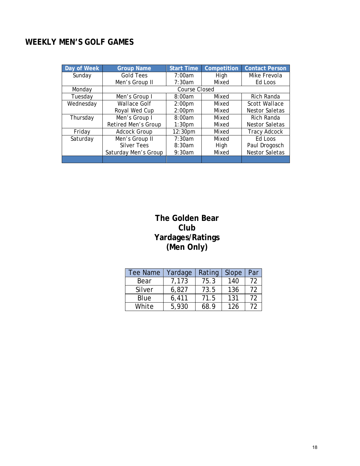# **WEEKLY MEN'S GOLF GAMES**

| Day of Week | <b>Group Name</b>    | <b>Start Time</b>  | Competition | <b>Contact Person</b> |  |  |
|-------------|----------------------|--------------------|-------------|-----------------------|--|--|
| Sunday      | <b>Gold Tees</b>     | 7:00am             | High        | Mike Frevola          |  |  |
|             | Men's Group II       | 7:30am             | Mixed       | Ed Loos               |  |  |
| Monday      |                      | Course Closed      |             |                       |  |  |
| Tuesdav     | Men's Group I        | 8:00am             | Mixed       | Rich Randa            |  |  |
| Wednesday   | <b>Wallace Golf</b>  | 2:00 <sub>pm</sub> | Mixed       | <b>Scott Wallace</b>  |  |  |
|             | Royal Wed Cup        | 2:00 <sub>pm</sub> | Mixed       | Nestor Saletas        |  |  |
| Thursday    | Men's Group I        | 8:00am             | Mixed       | Rich Randa            |  |  |
|             | Retired Men's Group  | 1:30 <sub>pm</sub> | Mixed       | Nestor Saletas        |  |  |
| Fridav      | <b>Adcock Group</b>  | 12:30pm            | Mixed       | <b>Tracy Adcock</b>   |  |  |
| Saturday    | Men's Group II       | 7:30am             | Mixed       | Ed Loos               |  |  |
|             | <b>Silver Tees</b>   | 8:30am             | High        | Paul Drogosch         |  |  |
|             | Saturday Men's Group | 9:30am             | Mixed       | <b>Nestor Saletas</b> |  |  |
|             |                      |                    |             |                       |  |  |

# **The Golden Bear Club Yardages/Ratings (Men Only)**

| Tee Name | Yardage | Rating | Slope | Par |
|----------|---------|--------|-------|-----|
| Bear     | 7,173   | 75.3   | 140   | 72  |
| Silver   | 6,827   | 73.5   | 136   | 72  |
| Blue     | 6,411   | 71.5   | 131   | 72  |
| White    | 5,930   | 68.9   | 126   | 72  |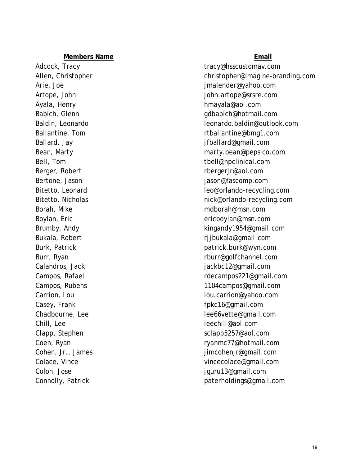Ayala, Henry **https://web.com/intervalue.org/intervalue.org/intervalue.org/intervalue.org/intervalue.org/interv** Bitetto, Leonard Bitetto, Nicholas Chill, Lee [leechill@aol.com](mailto:leechill@aol.com)

Adcock, Tracy and tracy tracy tracy tracy tracy tracy tracy tracy as the set of the set of the set of the set of the set of the set of the set of the set of the set of the set of the set of the set of the set of the set of Allen, Christopher [christopher@imagine](mailto:christopher@imagine-branding.com) -branding.com Arie, Joe [jmalender@yahoo.com](mailto:jmalender@yahoo.com) Artope, John [john.artope@srsre.com](mailto:john.artope@srsre.com) Babich, Glenn [gdbabich@hotmail.com](mailto:gdbabich@hotmail.com) Baldin, Leonardo [leonardo.baldin@outlook.com](mailto:leonardo.baldin@outlook.com) Ballantine, Tom **[rtballantine@bmg1.com](mailto:rtballantine@bmg1.com)** Ballard, Jay [jfballard@gmail.com](mailto:jfballard@gmail.com) Bean, Marty [marty.bean@pepsico.com](mailto:marty.bean@pepsico.com) Bell, Tom [tbell@hpclinical.com](mailto:tbell@hpclinical.com) Berger, Robert [rbergerjr@aol.com](mailto:rbergerjr@aol.com) Bertone, Jason jason jason jason gason jason mengentuk ke terbesar jason gason gason yang ditemuis mengentuk k leo@orlando[-recycling.com](mailto:leo@orlando-recycling.com) nick@orlando[-recycling.com](mailto:nick@orlando-recycling.com) Borah, Mike material method of the model of the model method of the model method of the model method of the model method of the model method of the model method of the model method of the model method of the model method o Boylan, Eric [ericboylan@msn.com](mailto:ericboylan@msn.com) Brumby, Andy **Example 20** and the state of the state of the [kingandy1954@gmail.com](mailto:kingandy1954@gmail.com) Bukala, Robert **rijbukala@gmail.com** Burk, Patrick [patrick.burk@wyn.com](mailto:patrick.burk@wyn.com) Burr, Ryan [rburr@golfchannel.com](mailto:rburr@golfchannel.com) Calandros, Jack in the calandros, Jackbon and Tackbc12@gmail.com Campos, Rafael **Campos**, Rafael **Research Research Research Research Research Research Research Research Research Research Research Research Research Research Research Research Research Research Research Research Research** Campos, Rubens [1104campos@gmail.com](mailto:1104campos@gmail.com) Carrion, Lou [lou.carrion@yahoo.com](mailto:lou.carrion@yahoo.com) Casey, Frank [fpkc16@gmail.com](mailto:fpkc16@gmail.com) Chadbourne, Lee leeft and the leeft of leeft and leeft were leeft with the leeft with a leeft with the left of the left of the left of the left of the left of the left of the left of the left of the left of the left of the Clapp, Stephen [sclapp5257@aol.com](mailto:sclapp5257@aol.com) Coen, Ryan [ryanmc77@hotmail.com](mailto:ryanmc77@hotmail.com) Cohen, Jr., James in the same is a set of the set of imcohenir@gmail.com Colace, Vince [vincecolace@gmail.com](mailto:vincecolace@gmail.com) Colon, Jose [jguru13@gmail.com](mailto:jguru13@gmail.com) Connolly, Patrick example and the [paterholdings@gmail.com](mailto:paterholdings@gmail.com)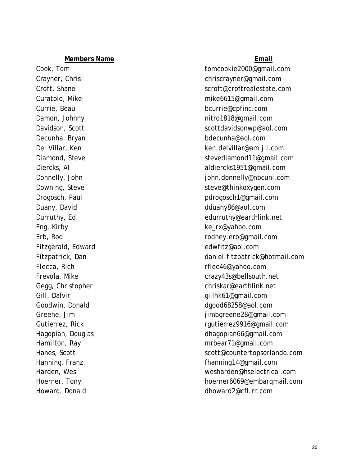Decunha, Bryan [bdecunha@aol.com](mailto:bdecunha@aol.com) Duany, David down and the community of the determination of the determination of the determination of the determination of the determination of the determination of the determination of the determination of the determinati Eng, Kirby [ke\\_rx@yahoo.com](mailto:ke_rx@yahoo.com) Fitzgerald, Edward [edwfitz@aol.com](mailto:edwfitz@aol.com) Flecca, Rich [rflec46@yahoo.com](mailto:rflec46@yahoo.com) Gill, Dalvir Gill, Dalvir [gillhk61@gmail.com](mailto:gillhk61@gmail.com) Greene, Jim Howard, Donald [dhoward2@cfl.rr.com](mailto:dhoward2@cfl.rr.com)

Cook, Tom [tomcookie2000@gmail.com](mailto:tomcookie2000@gmail.com) Crayner, Chris [chriscrayner@gmail.com](mailto:chriscrayner@gmail.com) Croft, Shane [scroft@croftrealestate.com](mailto:scroft@croftrealestate.com) Curatolo, Mike [mike6615@gmail.com](mailto:mike6615@gmail.com) Currie, Beau [bcurrie@cpfinc.com](mailto:bcurrie@cpfinc.com) Damon, Johnny [nitro1818@gmail.com](mailto:nitro1818@gmail.com) Davidson, Scott [scottdavidsonwp@aol.com](mailto:scottdavidsonwp@aol.com) Del Villar, Ken [ken.delvillar@am.jll.com](mailto:ken.delvillar@am.jll.com) Diamond, Steve [stevediamond11@gmail.com](mailto:stevediamond11@gmail.com) Diercks, Al [aldiercks1951@gmail.com](mailto:aldiercks1951@gmail.com) Donnelly, John [john.donnelly@nbcuni.com](mailto:john.donnelly@nbcuni.com) Downing, Steve [steve@thinkoxygen.com](mailto:steve@thinkoxygen.com) Drogosch, Paul progosch1@gmail.com Durruthy, Ed [edurruthy@earthlink.net](mailto:edurruthy@earthlink.net) Erb, Rod [rodney.erb@gmail.com](mailto:rodney.erb@gmail.com) Fitzpatrick, Dan [daniel.fitzpatrick@hotmail.com](mailto:daniel.fitzpatrick@hotmail.com) Frevola, Mike [crazy43s@bellsouth.net](mailto:crazy43s@bellsouth.net) Gegg, Christopher [chriskar@earthlink.net](mailto:chriskar@earthlink.net) Goodwin, Donald [dgood68258@aol.com](mailto:dgood68258@aol.com) [jimbgreene28@gmail.com](mailto:jimbgreene28@gmail.com) Gutierrez, Rick and Communicated and Communicated Test regulator regulator regulator regulator regulator regulator regulator regulator regulator regulator regulator regulator regulator regulator regulator regulator regulat Hagopian, Douglas [dhagopian66@gmail.com](mailto:dhagopian66@gmail.com) Hamilton, Ray method and the method of the method method of the method of the method of the method of the method of the method of the method of the method of the method of the method of the method of the method of the meth Hanes, Scott scott scott scott scott scott scott scott scott scott scott scott scott scott scott scott scott scott scott scott scott scott scott scott scott scott scott scott scott scott scott scott scott scott scott scott Hanning, Franz [fhanning14@gmail.com](mailto:fhanning14@gmail.com) Harden, Wes [wesharden@hselectrical.com](mailto:wesharden@hselectrical.com) Hoerner, Tony [hoerner6069@embarqmail.com](mailto:hoerner6069@embarqmail.com)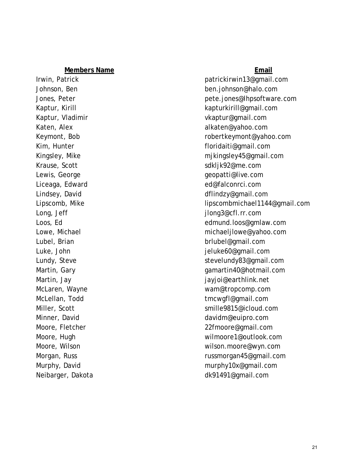Liceaga, Edward [ed@falconrci.com](mailto:ed@falconrci.com)

Irwin, Patrick **[patrickirwin13@gmail.com](mailto:patrickirwin13@gmail.com)** Johnson, Ben [ben.johnson@halo.com](mailto:ben.johnson@halo.com) Jones, Peter [pete.jones@lhpsoftware.com](mailto:pete.jones@lhpsoftware.com) Kaptur, Kirill [kapturkirill@gmail.com](mailto:kapturkirill@gmail.com) Kaptur, Vladimir [vkaptur@gmail.com](mailto:vkaptur@gmail.com) Katen, Alex [alkaten@yahoo.com](mailto:alkaten@yahoo.com) Keymont, Bob [robertkeymont@yahoo.com](mailto:robertkeymont@yahoo.com) Kim, Hunter [floridaiti@gmail.com](mailto:floridaiti@gmail.com) Kingsley, Mike might might mikingsley45@gmail.com Krause, Scott state state state state [sdkljk92@me.com](mailto:sdkljk92@me.com) Lewis, George Geopartic Communications are the communications of the communications of the communications of the communications of the communications of the communications of the communications of the communications of the Lindsey, David demonstration of the distribution of the distribution of the distribution of the distribution of the distribution of the distribution of the distribution of the distribution of the distribution of the distri Lipscomb, Mike [lipscombmichael1144@gmail.com](mailto:lipscombmichael1144@gmail.com) Long, Jeff [jlong3@cfl.rr.com](mailto:jlong3@cfl.rr.com) Loos, Ed [edmund.loos@gmlaw.com](mailto:edmund.loos@gmlaw.com) Lowe, Michael **Example 20** and the michaelilowe@yahoo.com Lubel, Brian [brlubel@gmail.com](mailto:brlubel@gmail.com) Luke, John [jeluke60@gmail.com](mailto:jeluke60@gmail.com) Lundy, Steve [stevelundy83@gmail.com](mailto:stevelundy83@gmail.com) Martin, Gary [gamartin40@hotmail.com](mailto:gamartin40@hotmail.com) Martin, Jay [jayjoi@earthlink.net](mailto:jayjoi@earthlink.net) McLaren, Wayne [wam@tropcomp.com](mailto:wam@tropcomp.com) McLellan, Todd [tmcwgfl@gmail.com](mailto:tmcwgfl@gmail.com) Miller, Scott [smille9815@icloud.com](mailto:smille9815@icloud.com) Minner, David david and the method of the david david method of the david method of the david method of the david method of the david method of the david method of the david method of the david method of the david method o Moore, Fletcher [22fmoore@gmail.com](mailto:22fmoore@gmail.com) Moore, Hugh [wilmoore1@outlook.com](mailto:wilmoore1@outlook.com) Moore, Wilson [wilson.moore@wyn.com](mailto:wilson.moore@wyn.com) Morgan, Russ **[russmorgan45@gmail.com](mailto:russmorgan45@gmail.com)** Murphy, David [murphy10x@gmail.com](mailto:murphy10x@gmail.com) Neibarger, Dakota [dk91491@gmail.com](mailto:dk91491@gmail.com)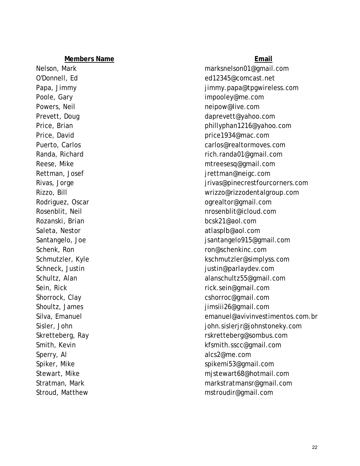Rozanski, Brian [bcsk21@aol.com](mailto:bcsk21@aol.com) Sperry, Al [alcs2@me.com](mailto:alcs2@me.com) Stroud, Matthew [mstroudir@gmail.com](mailto:mstroudir@gmail.com)

Nelson, Mark [marksnelson01@gmail.com](mailto:marksnelson01@gmail.com) O'Donnell, Ed [ed12345@comcast.net](mailto:ed12345@comcast.net) Papa, Jimmy dental and the papa of the immy.papa@tpgwireless.com Poole, Gary [impooley@me.com](mailto:impooley@me.com) Powers, Neil [neipow@live.com](mailto:neipow@live.com) Prevett, Doug and the community of the community of the [daprevett@yahoo.com](mailto:daprevett@yahoo.com) Price, Brian [phillyphan1216@yahoo.com](mailto:phillyphan1216@yahoo.com) Price, David **[price1934@mac.com](mailto:price1934@mac.com)** Puerto, Carlos [carlos@realtormoves.com](mailto:carlos@realtormoves.com) Randa, Richard [rich.randa01@gmail.com](mailto:rich.randa01@gmail.com) Reese, Mike metal metal metal metal metal metal metal metal metal metal metal metal metal metal metal metal me Rettman, Josef in the settle state of the settle in the settle settlement of the settlement of the settlement of the settlement of the settlement of the settlement of the settlement of the settlement of the settlement of t Rivas, Jorge julia and the settlement of the settlement of the private pinecrest fourcorners.com Rizzo, Bill [wrizzo@rizzodentalgroup.com](mailto:wrizzo@rizzodentalgroup.com) Rodriguez, Oscar **[ogrealtor@gmail.com](mailto:ogrealtor@gmail.com)** Rosenblit, Neil **[nrosenblit@icloud.com](mailto:nrosenblit@icloud.com)** Saleta, Nestor [atlasplb@aol.com](mailto:atlasplb@aol.com) Santangelo, Joe jaartangelo915@gmail.com Schenk, Ron [ron@schenkinc.com](mailto:ron@schenkinc.com) Schmutzler, Kyle [kschmutzler@simplyss.com](mailto:kschmutzler@simplyss.com) Schneck, Justin justin enterprise in the settlement of the settlement of the settlement of the settlement of the settlement of the settlement of the settlement of the settlement of the settlement of the settlement of the s Schultz, Alan [alanschultz55@gmail.com](mailto:alanschultz55@gmail.com) Sein, Rick [rick.sein@gmail.com](mailto:rick.sein@gmail.com) Shorrock, Clay [cshorroc@gmail.com](mailto:cshorroc@gmail.com) Shoultz, James **installer** in the state of the state in the state in the state in the state in the state in the state in the state in the state in the state in the state in the state in the state in the state in the state Silva, Emanuel [emanuel@avivinvestimentos.com.br](mailto:emanuel@avivinvestimentos.com.br) Sisler, John [john.sislerjr@johnstoneky.com](mailto:john.sislerjr@johnstoneky.com) Skretteberg, Ray [rskretteberg@sombus.com](mailto:rskretteberg@sombus.com) Smith, Kevin [kfsmith.sscc@gmail.com](mailto:kfsmith.sscc@gmail.com) Spiker, Mike [spikemi53@gmail.com](mailto:spikemi53@gmail.com) Stewart, Mike mistewart68@hotmail.com Stratman, Mark [markstratmansr@gmail.com](mailto:markstratmansr@gmail.com)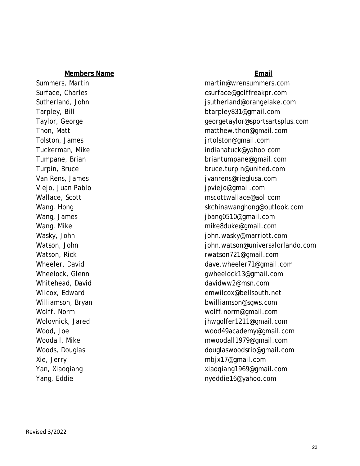Viejo, Juan Pablo international component component international projection of the projection of the view of the v

Summers, Martin [martin@wrensummers.com](mailto:martin@wrensummers.com) Surface, Charles [csurface@golffreakpr.com](mailto:csurface@golffreakpr.com) Sutherland, John [jsutherland@orangelake.com](mailto:jsutherland@orangelake.com) Tarpley, Bill [btarpley831@gmail.com](mailto:btarpley831@gmail.com) Taylor, George Georgetaylor@sportsartsplus.com Thon, Matt [matthew.thon@gmail.com](mailto:matthew.thon@gmail.com) Tolston, James jettolston@gmail.com Tuckerman, Mike [indianatuck@yahoo.com](mailto:indianatuck@yahoo.com) Tumpane, Brian [briantumpane@gmail.com](mailto:briantumpane@gmail.com) Turpin, Bruce bruce [bruce.turpin@united.com](mailto:bruce.turpin@united.com) Van Rens, James juant and the settlement of the settlement of the settlement of the van help is van help in the v Wallace, Scott [mscottwallace@aol.com](mailto:mscottwallace@aol.com) Wang, Hong [skchinawanghong@outlook.com](mailto:skchinawanghong@outlook.com) Wang, James **in the set of the set of the set of the set of the set of the set of the set of the set of the set of the set of the set of the set of the set of the set of the set of the set of the set of the set of the set** Wang, Mike [mike8duke@gmail.com](mailto:mike8duke@gmail.com) Wasky, John **Wasky, John is a metallic of the set of the set of the set of the set of the set of the set of the set of the set of the set of the set of the set of the set of the set of the set of the set of the set of the** Watson, John **in the intervalor of the intervalor of the intervalor is a structure** [john.watson@universalorlando.com](mailto:john.watson@universalorlando.com) Watson, Rick **rational and resource relationships and relationships and relationships and relationships and relationships and relationships and relationships and relationships are relationships and relationships are relati** Wheeler, David and Communication of the [dave.wheeler71@gmail.com](mailto:dave.wheeler71@gmail.com) Wheelock, Glenn [gwheelock13@gmail.com](mailto:gwheelock13@gmail.com) Whitehead, David david and the manufacture of the [davidww2@msn.com](mailto:davidww2@msn.com) Wilcox, Edward [emwilcox@bellsouth.net](mailto:emwilcox@bellsouth.net) Williamson, Bryan [bwilliamson@sgws.com](mailto:bwilliamson@sgws.com) Wolff, Norm [wolff.norm@gmail.com](mailto:wolff.norm@gmail.com) Wolovnick, Jared in the same state of the state of the intervals in the intervals of the intervals of the intervals of the intervals of the intervals of the intervals of the intervals of the intervals of the intervals of t Wood, Joe [wood49academy@gmail.com](mailto:wood49academy@gmail.com) Woodall, Mike [mwoodall1979@gmail.com](mailto:mwoodall1979@gmail.com) Woods, Douglas [douglaswoodsrio@gmail.com](mailto:douglaswoodsrio@gmail.com) Xie, Jerry [mbjx17@gmail.com](mailto:mbjx17@gmail.com) Yan, Xiaoqiang [xiaoqiang1969@gmail.com](mailto:xiaoqiang1969@gmail.com) Yang, Eddie [nyeddie16@yahoo.com](mailto:nyeddie16@yahoo.com)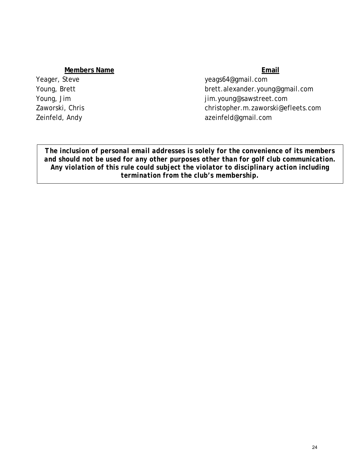Yeager, Steve [yeags64@gmail.com](mailto:yeags64@gmail.com) Young, Brett [brett.alexander.young@gmail.com](mailto:brett.alexander.young@gmail.com) Young, Jim [jim.young@sawstreet.com](mailto:jim.young@sawstreet.com) Zaworski, Chris [christopher.m.zaworski@efleets.com](mailto:christopher.m.zaworski@efleets.com) Zeinfeld, Andy [azeinfeld@gmail.com](mailto:azeinfeld@gmail.com)

*The inclusion of personal email addresses is solely for the convenience of its members and should not be used for any other purposes other than for golf club communication. Any violation of this rule could subject the violator to disciplinary action including termination from the club's membership.*